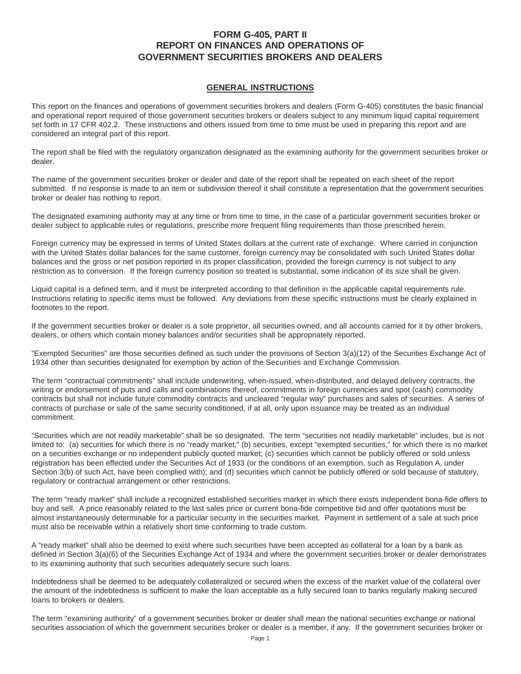# **FORM G-405, PART II REPORT ON FINANCES AND OPERATIONS OF GOVERNMENT SECURITIES BROKERS AND DEALERS**

# **GENERAL INSTRUCTIONS**

This report on the finances and operations of government securities brokers and dealers (Form G-405) constitutes the basic financial and operational report required of those government securities brokers or dealers subject to any minimum liquid capital requirement set forth in 17 CFR 402.2. These instructions and others issued from time to time must be used in preparing this report and are considered an integral part of this report.

The report shall be filed with the regulatory organization designated as the examining authority for the government securities broker or dealer.

The name of the government securities broker or dealer and date of the report shall be repeated on each sheet of the report submitted. If no response is made to an item or subdivision thereof it shall constitute a representation that the government securities broker or dealer has nothing to report.

The designated examining authority may at any time or from time to time, in the case of a particular government securities broker or dealer subject to applicable rules or regulations, prescribe more frequent filing requirements than those prescribed herein.

Foreign currency may be expressed in terms of United States dollars at the current rate of exchange. Where carried in conjunction with the United States dollar balances for the same customer, foreign currency may be consolidated with such United States dollar balances and the gross or net position reported in its proper classification, provided the foreign currency is not subject to any restriction as to conversion. If the foreign currency position so treated is substantial, some indication of its size shall be given.

Liquid capital is a defined term, and it must be interpreted according to that definition in the applicable capital requirements rule. Instructions relating to specific items must be followed. Any deviations from these specific instructions must be clearly explained in footnotes to the report.

If the government securities broker or dealer is a sole proprietor, all securities owned, and all accounts carried for it by other brokers, dealers, or others which contain money balances and/or securities shall be appropriately reported.

"Exempted Securities" are those securities defined as such under the provisions of Section 3(a)(12) of the Securities Exchange Act of 1934 other than securities designated for exemption by action of the Securities and Exchange Commission.

The term "contractual commitments" shall include underwriting, when-issued, when-distributed, and delayed delivery contracts, the writing or endorsement of puts and calls and combinations thereof, commitments in foreign currencies and spot (cash) commodity contracts but shall not include future commodity contracts and uncleared "regular way" purchases and sales of securities. A series of contracts of purchase or sale of the same security conditioned, if at all, only upon issuance may be treated as an individual commitment.

"Securities which are not readily marketable" shall be so designated. The term "securities not readily marketable" includes, but is not limited to: (a) securities for which there is no "ready market;" (b) securities, except "exempted securities," for which there is no market on a securities exchange or no independent publicly quoted market; (c) securities which cannot be publicly offered or sold unless registration has been effected under the Securities Act of 1933 (or the conditions of an exemption, such as Regulation A, under Section 3(b) of such Act, have been complied with); and (d) securities which cannot be publicly offered or sold because of statutory, regulatory or contractual arrangement or other restrictions.

The term "ready market" shall include a recognized established securities market in which there exists independent bona-fide offers to buy and sell. A price reasonably related to the last sales price or current bona-fide competitive bid and offer quotations must be almost instantaneously determinable for a particular security in the securities market. Payment in settlement of a sale at such price must also be receivable within a relatively short time conforming to trade custom.

A "ready market" shall also be deemed to exist where such securities have been accepted as collateral for a loan by a bank as defined in Section 3(a)(6) of the Securities Exchange Act of 1934 and where the government securities broker or dealer demonstrates to its examining authority that such securities adequately secure such loans.

Indebtedness shall be deemed to be adequately collateralized or secured when the excess of the market value of the collateral over the amount of the indebtedness is sufficient to make the loan acceptable as a fully secured loan to banks regularly making secured loans to brokers or dealers.

The term "examining authority" of a government securities broker or dealer shall mean the national securities exchange or national securities association of which the government securities broker or dealer is a member, if any. If the government securities broker or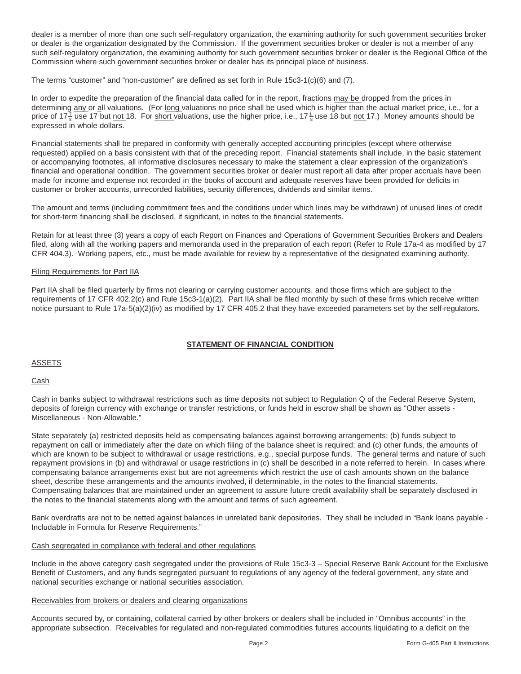dealer is a member of more than one such self-regulatory organization, the examining authority for such government securities broker or dealer is the organization designated by the Commission. If the government securities broker or dealer is not a member of any such self-regulatory organization, the examining authority for such government securities broker or dealer is the Regional Office of the Commission where such government securities broker or dealer has its principal place of business.

The terms "customer" and "non-customer" are defined as set forth in Rule 15c3-1(c)(6) and (7).

In order to expedite the preparation of the financial data called for in the report, fractions may be dropped from the prices in determining any or all valuations. (For long valuations no price shall be used which is higher than the actual market price, i.e., for a price of 17 $\frac{7}{8}$ use 17 but <u>not </u>18. For <u>short v</u>aluations, use the higher price, i.e., 17 $\frac{1}{8}$ use 18 but <u>not </u>17.) Money amounts should be expressed in whole dollars.

Financial statements shall be prepared in conformity with generally accepted accounting principles (except where otherwise requested) applied on a basis consistent with that of the preceding report. Financial statements shall include, in the basic statement or accompanying footnotes, all informative disclosures necessary to make the statement a clear expression of the organization's financial and operational condition. The government securities broker or dealer must report all data after proper accruals have been made for income and expense not recorded in the books of account and adequate reserves have been provided for deficits in customer or broker accounts, unrecorded liabilities, security differences, dividends and similar items.

The amount and terms (including commitment fees and the conditions under which lines may be withdrawn) of unused lines of credit for short-term financing shall be disclosed, if significant, in notes to the financial statements.

Retain for at least three (3) years a copy of each Report on Finances and Operations of Government Securities Brokers and Dealers filed, along with all the working papers and memoranda used in the preparation of each report (Refer to Rule 17a-4 as modified by 17 CFR 404.3). Working papers, etc., must be made available for review by a representative of the designated examining authority.

# Filing Requirements for Part IIA

Part IIA shall be filed quarterly by firms not clearing or carrying customer accounts, and those firms which are subject to the requirements of 17 CFR 402.2(c) and Rule 15c3-1(a)(2). Part IIA shall be filed monthly by such of these firms which receive written notice pursuant to Rule 17a-5(a)(2)(iv) as modified by 17 CFR 405.2 that they have exceeded parameters set by the self-regulators.

# **STATEMENT OF FINANCIAL CONDITION**

# **ASSETS**

# Cash

Cash in banks subject to withdrawal restrictions such as time deposits not subject to Regulation Q of the Federal Reserve System, deposits of foreign currency with exchange or transfer restrictions, or funds held in escrow shall be shown as "Other assets - Miscellaneous - Non-Allowable."

State separately (a) restricted deposits held as compensating balances against borrowing arrangements; (b) funds subject to repayment on call or immediately after the date on which filing of the balance sheet is required; and (c) other funds, the amounts of which are known to be subject to withdrawal or usage restrictions, e.g., special purpose funds. The general terms and nature of such repayment provisions in (b) and withdrawal or usage restrictions in (c) shall be described in a note referred to herein. In cases where compensating balance arrangements exist but are not agreements which restrict the use of cash amounts shown on the balance sheet, describe these arrangements and the amounts involved, if determinable, in the notes to the financial statements. Compensating balances that are maintained under an agreement to assure future credit availability shall be separately disclosed in the notes to the financial statements along with the amount and terms of such agreement.

Bank overdrafts are not to be netted against balances in unrelated bank depositories. They shall be included in "Bank loans payable - Includable in Formula for Reserve Requirements."

# Cash segregated in compliance with federal and other regulations

Include in the above category cash segregated under the provisions of Rule 15c3-3 – Special Reserve Bank Account for the Exclusive Benefit of Customers, and any funds segregated pursuant to regulations of any agency of the federal government, any state and national securities exchange or national securities association.

#### Receivables from brokers or dealers and clearing organizations

Accounts secured by, or containing, collateral carried by other brokers or dealers shall be included in "Omnibus accounts" in the appropriate subsection. Receivables for regulated and non-regulated commodities futures accounts liquidating to a deficit on the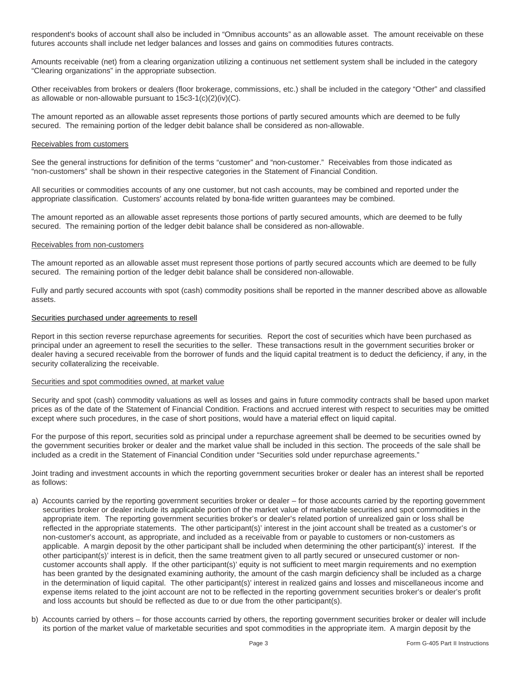respondent's books of account shall also be included in "Omnibus accounts" as an allowable asset. The amount receivable on these futures accounts shall include net ledger balances and losses and gains on commodities futures contracts.

Amounts receivable (net) from a clearing organization utilizing a continuous net settlement system shall be included in the category "Clearing organizations" in the appropriate subsection.

Other receivables from brokers or dealers (floor brokerage, commissions, etc.) shall be included in the category "Other" and classified as allowable or non-allowable pursuant to 15c3-1(c)(2)(iv)(C).

The amount reported as an allowable asset represents those portions of partly secured amounts which are deemed to be fully secured. The remaining portion of the ledger debit balance shall be considered as non-allowable.

#### Receivables from customers

See the general instructions for definition of the terms "customer" and "non-customer." Receivables from those indicated as "non-customers" shall be shown in their respective categories in the Statement of Financial Condition.

All securities or commodities accounts of any one customer, but not cash accounts, may be combined and reported under the appropriate classification. Customers' accounts related by bona-fide written guarantees may be combined.

The amount reported as an allowable asset represents those portions of partly secured amounts, which are deemed to be fully secured. The remaining portion of the ledger debit balance shall be considered as non-allowable.

#### Receivables from non-customers

The amount reported as an allowable asset must represent those portions of partly secured accounts which are deemed to be fully secured. The remaining portion of the ledger debit balance shall be considered non-allowable.

Fully and partly secured accounts with spot (cash) commodity positions shall be reported in the manner described above as allowable assets.

# Securities purchased under agreements to resell

Report in this section reverse repurchase agreements for securities. Report the cost of securities which have been purchased as principal under an agreement to resell the securities to the seller. These transactions result in the government securities broker or dealer having a secured receivable from the borrower of funds and the liquid capital treatment is to deduct the deficiency, if any, in the security collateralizing the receivable.

#### Securities and spot commodities owned, at market value

Security and spot (cash) commodity valuations as well as losses and gains in future commodity contracts shall be based upon market prices as of the date of the Statement of Financial Condition. Fractions and accrued interest with respect to securities may be omitted except where such procedures, in the case of short positions, would have a material effect on liquid capital.

For the purpose of this report, securities sold as principal under a repurchase agreement shall be deemed to be securities owned by the government securities broker or dealer and the market value shall be included in this section. The proceeds of the sale shall be included as a credit in the Statement of Financial Condition under "Securities sold under repurchase agreements."

Joint trading and investment accounts in which the reporting government securities broker or dealer has an interest shall be reported as follows:

- a) Accounts carried by the reporting government securities broker or dealer for those accounts carried by the reporting government securities broker or dealer include its applicable portion of the market value of marketable securities and spot commodities in the appropriate item. The reporting government securities broker's or dealer's related portion of unrealized gain or loss shall be reflected in the appropriate statements. The other participant(s)' interest in the joint account shall be treated as a customer's or non-customer's account, as appropriate, and included as a receivable from or payable to customers or non-customers as applicable. A margin deposit by the other participant shall be included when determining the other participant(s)' interest. If the other participant(s)' interest is in deficit, then the same treatment given to all partly secured or unsecured customer or noncustomer accounts shall apply. If the other participant(s)' equity is not sufficient to meet margin requirements and no exemption has been granted by the designated examining authority, the amount of the cash margin deficiency shall be included as a charge in the determination of liquid capital. The other participant(s)' interest in realized gains and losses and miscellaneous income and expense items related to the joint account are not to be reflected in the reporting government securities broker's or dealer's profit and loss accounts but should be reflected as due to or due from the other participant(s).
- b) Accounts carried by others for those accounts carried by others, the reporting government securities broker or dealer will include its portion of the market value of marketable securities and spot commodities in the appropriate item. A margin deposit by the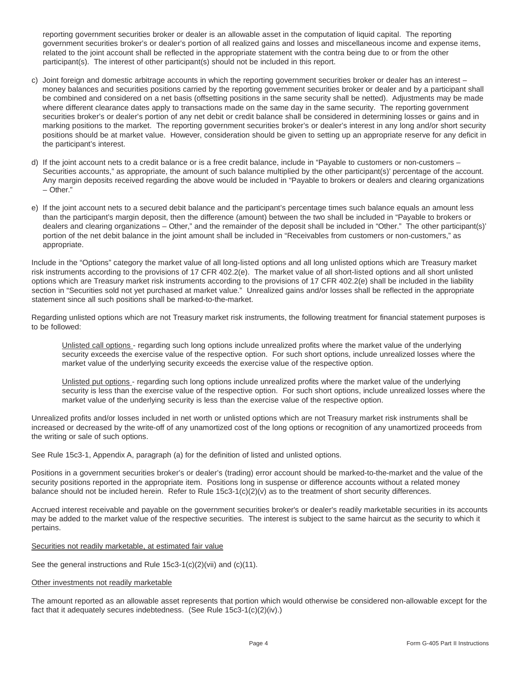reporting government securities broker or dealer is an allowable asset in the computation of liquid capital. The reporting government securities broker's or dealer's portion of all realized gains and losses and miscellaneous income and expense items, related to the joint account shall be reflected in the appropriate statement with the contra being due to or from the other participant(s). The interest of other participant(s) should not be included in this report.

- c) Joint foreign and domestic arbitrage accounts in which the reporting government securities broker or dealer has an interest money balances and securities positions carried by the reporting government securities broker or dealer and by a participant shall be combined and considered on a net basis (offsetting positions in the same security shall be netted). Adjustments may be made where different clearance dates apply to transactions made on the same day in the same security. The reporting government securities broker's or dealer's portion of any net debit or credit balance shall be considered in determining losses or gains and in marking positions to the market. The reporting government securities broker's or dealer's interest in any long and/or short security positions should be at market value. However, consideration should be given to setting up an appropriate reserve for any deficit in the participant's interest.
- d) If the joint account nets to a credit balance or is a free credit balance, include in "Payable to customers or non-customers Securities accounts," as appropriate, the amount of such balance multiplied by the other participant(s)' percentage of the account. Any margin deposits received regarding the above would be included in "Payable to brokers or dealers and clearing organizations – Other."
- e) If the joint account nets to a secured debit balance and the participant's percentage times such balance equals an amount less than the participant's margin deposit, then the difference (amount) between the two shall be included in "Payable to brokers or dealers and clearing organizations – Other," and the remainder of the deposit shall be included in "Other." The other participant(s)' portion of the net debit balance in the joint amount shall be included in "Receivables from customers or non-customers," as appropriate.

Include in the "Options" category the market value of all long-listed options and all long unlisted options which are Treasury market risk instruments according to the provisions of 17 CFR 402.2(e). The market value of all short-listed options and all short unlisted options which are Treasury market risk instruments according to the provisions of 17 CFR 402.2(e) shall be included in the liability section in "Securities sold not yet purchased at market value." Unrealized gains and/or losses shall be reflected in the appropriate statement since all such positions shall be marked-to-the-market.

Regarding unlisted options which are not Treasury market risk instruments, the following treatment for financial statement purposes is to be followed:

Unlisted call options - regarding such long options include unrealized profits where the market value of the underlying security exceeds the exercise value of the respective option. For such short options, include unrealized losses where the market value of the underlying security exceeds the exercise value of the respective option.

Unlisted put options - regarding such long options include unrealized profits where the market value of the underlying security is less than the exercise value of the respective option. For such short options, include unrealized losses where the market value of the underlying security is less than the exercise value of the respective option.

Unrealized profits and/or losses included in net worth or unlisted options which are not Treasury market risk instruments shall be increased or decreased by the write-off of any unamortized cost of the long options or recognition of any unamortized proceeds from the writing or sale of such options.

See Rule 15c3-1, Appendix A, paragraph (a) for the definition of listed and unlisted options.

Positions in a government securities broker's or dealer's (trading) error account should be marked-to-the-market and the value of the security positions reported in the appropriate item. Positions long in suspense or difference accounts without a related money balance should not be included herein. Refer to Rule  $15c3-1(c)(2)(v)$  as to the treatment of short security differences.

Accrued interest receivable and payable on the government securities broker's or dealer's readily marketable securities in its accounts may be added to the market value of the respective securities. The interest is subject to the same haircut as the security to which it pertains.

# Securities not readily marketable, at estimated fair value

See the general instructions and Rule 15c3-1(c)(2)(vii) and (c)(11).

# Other investments not readily marketable

The amount reported as an allowable asset represents that portion which would otherwise be considered non-allowable except for the fact that it adequately secures indebtedness. (See Rule 15c3-1(c)(2)(iv).)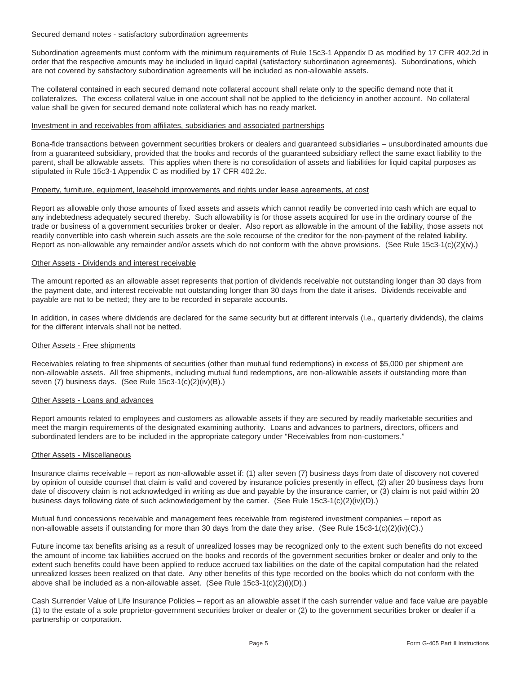# Secured demand notes - satisfactory subordination agreements

Subordination agreements must conform with the minimum requirements of Rule 15c3-1 Appendix D as modified by 17 CFR 402.2d in order that the respective amounts may be included in liquid capital (satisfactory subordination agreements). Subordinations, which are not covered by satisfactory subordination agreements will be included as non-allowable assets.

The collateral contained in each secured demand note collateral account shall relate only to the specific demand note that it collateralizes. The excess collateral value in one account shall not be applied to the deficiency in another account. No collateral value shall be given for secured demand note collateral which has no ready market.

#### Investment in and receivables from affiliates, subsidiaries and associated partnerships

Bona-fide transactions between government securities brokers or dealers and guaranteed subsidiaries – unsubordinated amounts due from a guaranteed subsidiary, provided that the books and records of the guaranteed subsidiary reflect the same exact liability to the parent, shall be allowable assets. This applies when there is no consolidation of assets and liabilities for liquid capital purposes as stipulated in Rule 15c3-1 Appendix C as modified by 17 CFR 402.2c.

#### Property, furniture, equipment, leasehold improvements and rights under lease agreements, at cost

Report as allowable only those amounts of fixed assets and assets which cannot readily be converted into cash which are equal to any indebtedness adequately secured thereby. Such allowability is for those assets acquired for use in the ordinary course of the trade or business of a government securities broker or dealer. Also report as allowable in the amount of the liability, those assets not readily convertible into cash wherein such assets are the sole recourse of the creditor for the non-payment of the related liability. Report as non-allowable any remainder and/or assets which do not conform with the above provisions. (See Rule 15c3-1(c)(2)(iv).)

#### Other Assets - Dividends and interest receivable

The amount reported as an allowable asset represents that portion of dividends receivable not outstanding longer than 30 days from the payment date, and interest receivable not outstanding longer than 30 days from the date it arises. Dividends receivable and payable are not to be netted; they are to be recorded in separate accounts.

In addition, in cases where dividends are declared for the same security but at different intervals (i.e., quarterly dividends), the claims for the different intervals shall not be netted.

#### Other Assets - Free shipments

Receivables relating to free shipments of securities (other than mutual fund redemptions) in excess of \$5,000 per shipment are non-allowable assets. All free shipments, including mutual fund redemptions, are non-allowable assets if outstanding more than seven (7) business days. (See Rule 15c3-1(c)(2)(iv)(B).)

### Other Assets - Loans and advances

Report amounts related to employees and customers as allowable assets if they are secured by readily marketable securities and meet the margin requirements of the designated examining authority. Loans and advances to partners, directors, officers and subordinated lenders are to be included in the appropriate category under "Receivables from non-customers."

#### Other Assets - Miscellaneous

Insurance claims receivable – report as non-allowable asset if: (1) after seven (7) business days from date of discovery not covered by opinion of outside counsel that claim is valid and covered by insurance policies presently in effect, (2) after 20 business days from date of discovery claim is not acknowledged in writing as due and payable by the insurance carrier, or (3) claim is not paid within 20 business days following date of such acknowledgement by the carrier. (See Rule 15c3-1(c)(2)(iv)(D).)

Mutual fund concessions receivable and management fees receivable from registered investment companies – report as non-allowable assets if outstanding for more than 30 days from the date they arise. (See Rule 15c3-1(c)(2)(iv)(C).)

Future income tax benefits arising as a result of unrealized losses may be recognized only to the extent such benefits do not exceed the amount of income tax liabilities accrued on the books and records of the government securities broker or dealer and only to the extent such benefits could have been applied to reduce accrued tax liabilities on the date of the capital computation had the related unrealized losses been realized on that date. Any other benefits of this type recorded on the books which do not conform with the above shall be included as a non-allowable asset. (See Rule 15c3-1(c)(2)(i)(D).)

Cash Surrender Value of Life Insurance Policies – report as an allowable asset if the cash surrender value and face value are payable (1) to the estate of a sole proprietor-government securities broker or dealer or (2) to the government securities broker or dealer if a partnership or corporation.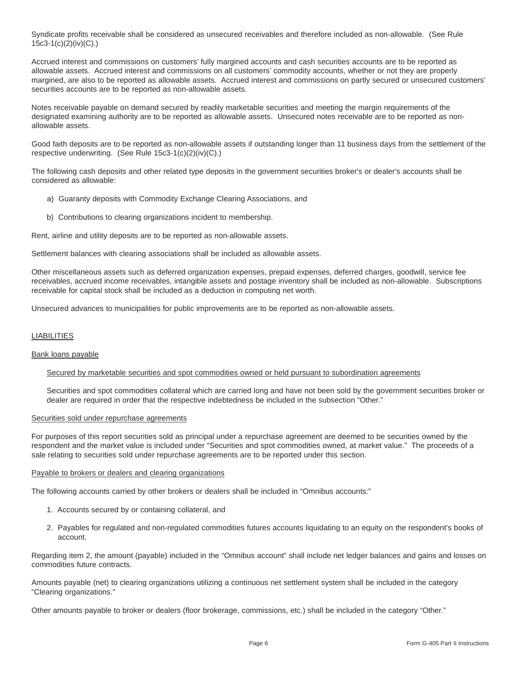Syndicate profits receivable shall be considered as unsecured receivables and therefore included as non-allowable. (See Rule 15c3-1(c)(2)(iv)(C).)

Accrued interest and commissions on customers' fully margined accounts and cash securities accounts are to be reported as allowable assets. Accrued interest and commissions on all customers' commodity accounts, whether or not they are properly margined, are also to be reported as allowable assets. Accrued interest and commissions on partly secured or unsecured customers' securities accounts are to be reported as non-allowable assets.

Notes receivable payable on demand secured by readily marketable securities and meeting the margin requirements of the designated examining authority are to be reported as allowable assets. Unsecured notes receivable are to be reported as nonallowable assets.

Good faith deposits are to be reported as non-allowable assets if outstanding longer than 11 business days from the settlement of the respective underwriting. (See Rule 15c3-1(c)(2)(iv)(C).)

The following cash deposits and other related type deposits in the government securities broker's or dealer's accounts shall be considered as allowable:

- a) Guaranty deposits with Commodity Exchange Clearing Associations, and
- b) Contributions to clearing organizations incident to membership.

Rent, airline and utility deposits are to be reported as non-allowable assets.

Settlement balances with clearing associations shall be included as allowable assets.

Other miscellaneous assets such as deferred organization expenses, prepaid expenses, deferred charges, goodwill, service fee receivables, accrued income receivables, intangible assets and postage inventory shall be included as non-allowable. Subscriptions receivable for capital stock shall be included as a deduction in computing net worth.

Unsecured advances to municipalities for public improvements are to be reported as non-allowable assets.

# **LIABILITIES**

#### Bank loans payable

#### Secured by marketable securities and spot commodities owned or held pursuant to subordination agreements

Securities and spot commodities collateral which are carried long and have not been sold by the government securities broker or dealer are required in order that the respective indebtedness be included in the subsection "Other."

#### Securities sold under repurchase agreements

For purposes of this report securities sold as principal under a repurchase agreement are deemed to be securities owned by the respondent and the market value is included under "Securities and spot commodities owned, at market value." The proceeds of a sale relating to securities sold under repurchase agreements are to be reported under this section.

#### Payable to brokers or dealers and clearing organizations

The following accounts carried by other brokers or dealers shall be included in "Omnibus accounts:"

- 1. Accounts secured by or containing collateral, and
- 2. Payables for regulated and non-regulated commodities futures accounts liquidating to an equity on the respondent's books of account.

Regarding item 2, the amount (payable) included in the "Omnibus account" shall include net ledger balances and gains and losses on commodities future contracts.

Amounts payable (net) to clearing organizations utilizing a continuous net settlement system shall be included in the category "Clearing organizations."

Other amounts payable to broker or dealers (floor brokerage, commissions, etc.) shall be included in the category "Other."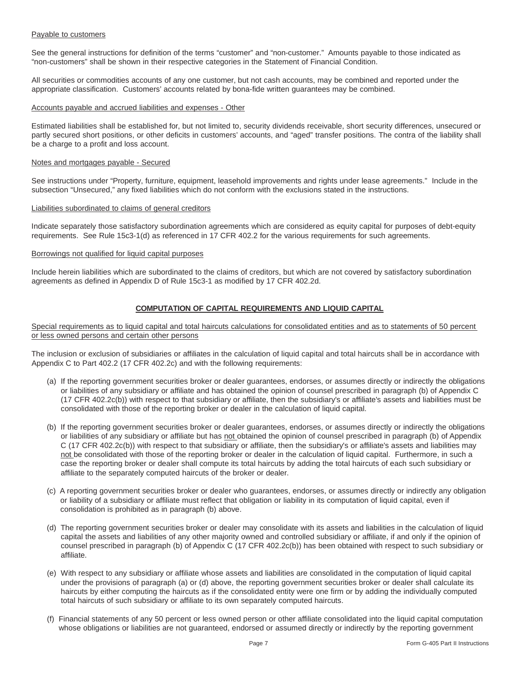# Payable to customers

See the general instructions for definition of the terms "customer" and "non-customer." Amounts payable to those indicated as "non-customers" shall be shown in their respective categories in the Statement of Financial Condition.

All securities or commodities accounts of any one customer, but not cash accounts, may be combined and reported under the appropriate classification. Customers' accounts related by bona-fide written guarantees may be combined.

# Accounts payable and accrued liabilities and expenses - Other

Estimated liabilities shall be established for, but not limited to, security dividends receivable, short security differences, unsecured or partly secured short positions, or other deficits in customers' accounts, and "aged" transfer positions. The contra of the liability shall be a charge to a profit and loss account.

#### Notes and mortgages payable - Secured

See instructions under "Property, furniture, equipment, leasehold improvements and rights under lease agreements." Include in the subsection "Unsecured," any fixed liabilities which do not conform with the exclusions stated in the instructions.

# Liabilities subordinated to claims of general creditors

Indicate separately those satisfactory subordination agreements which are considered as equity capital for purposes of debt-equity requirements. See Rule 15c3-1(d) as referenced in 17 CFR 402.2 for the various requirements for such agreements.

### Borrowings not qualified for liquid capital purposes

Include herein liabilities which are subordinated to the claims of creditors, but which are not covered by satisfactory subordination agreements as defined in Appendix D of Rule 15c3-1 as modified by 17 CFR 402.2d.

# **COMPUTATION OF CAPITAL REQUIREMENTS AND LIQUID CAPITAL**

Special requirements as to liquid capital and total haircuts calculations for consolidated entities and as to statements of 50 percent or less owned persons and certain other persons

The inclusion or exclusion of subsidiaries or affiliates in the calculation of liquid capital and total haircuts shall be in accordance with Appendix C to Part 402.2 (17 CFR 402.2c) and with the following requirements:

- (a) If the reporting government securities broker or dealer guarantees, endorses, or assumes directly or indirectly the obligations or liabilities of any subsidiary or affiliate and has obtained the opinion of counsel prescribed in paragraph (b) of Appendix C (17 CFR 402.2c(b)) with respect to that subsidiary or affiliate, then the subsidiary's or affiliate's assets and liabilities must be consolidated with those of the reporting broker or dealer in the calculation of liquid capital.
- (b) If the reporting government securities broker or dealer guarantees, endorses, or assumes directly or indirectly the obligations or liabilities of any subsidiary or affiliate but has not obtained the opinion of counsel prescribed in paragraph (b) of Appendix C (17 CFR 402.2c(b)) with respect to that subsidiary or affiliate, then the subsidiary's or affiliate's assets and liabilities may not be consolidated with those of the reporting broker or dealer in the calculation of liquid capital. Furthermore, in such a case the reporting broker or dealer shall compute its total haircuts by adding the total haircuts of each such subsidiary or affiliate to the separately computed haircuts of the broker or dealer.
- (c) A reporting government securities broker or dealer who guarantees, endorses, or assumes directly or indirectly any obligation or liability of a subsidiary or affiliate must reflect that obligation or liability in its computation of liquid capital, even if consolidation is prohibited as in paragraph (b) above.
- (d) The reporting government securities broker or dealer may consolidate with its assets and liabilities in the calculation of liquid capital the assets and liabilities of any other majority owned and controlled subsidiary or affiliate, if and only if the opinion of counsel prescribed in paragraph (b) of Appendix C (17 CFR 402.2c(b)) has been obtained with respect to such subsidiary or affiliate.
- (e) With respect to any subsidiary or affiliate whose assets and liabilities are consolidated in the computation of liquid capital under the provisions of paragraph (a) or (d) above, the reporting government securities broker or dealer shall calculate its haircuts by either computing the haircuts as if the consolidated entity were one firm or by adding the individually computed total haircuts of such subsidiary or affiliate to its own separately computed haircuts.
- (f) Financial statements of any 50 percent or less owned person or other affiliate consolidated into the liquid capital computation whose obligations or liabilities are not guaranteed, endorsed or assumed directly or indirectly by the reporting government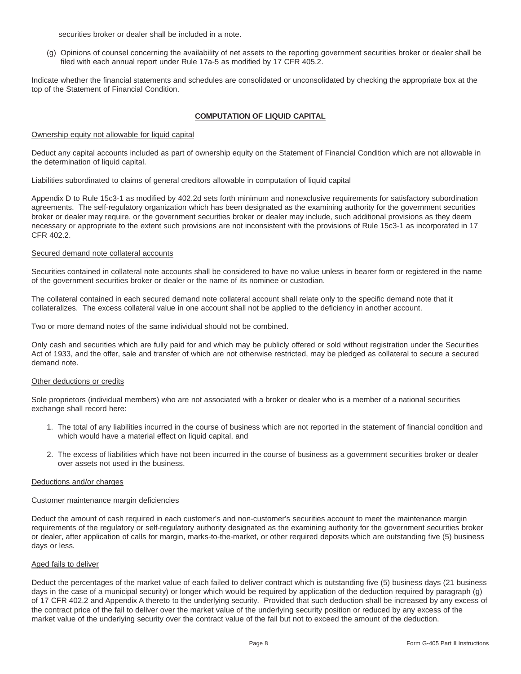securities broker or dealer shall be included in a note.

(g) Opinions of counsel concerning the availability of net assets to the reporting government securities broker or dealer shall be filed with each annual report under Rule 17a-5 as modified by 17 CFR 405.2.

Indicate whether the financial statements and schedules are consolidated or unconsolidated by checking the appropriate box at the top of the Statement of Financial Condition.

# **COMPUTATION OF LIQUID CAPITAL**

# Ownership equity not allowable for liquid capital

Deduct any capital accounts included as part of ownership equity on the Statement of Financial Condition which are not allowable in the determination of liquid capital.

# Liabilities subordinated to claims of general creditors allowable in computation of liquid capital

Appendix D to Rule 15c3-1 as modified by 402.2d sets forth minimum and nonexclusive requirements for satisfactory subordination agreements. The self-regulatory organization which has been designated as the examining authority for the government securities broker or dealer may require, or the government securities broker or dealer may include, such additional provisions as they deem necessary or appropriate to the extent such provisions are not inconsistent with the provisions of Rule 15c3-1 as incorporated in 17 CFR 402.2.

# Secured demand note collateral accounts

Securities contained in collateral note accounts shall be considered to have no value unless in bearer form or registered in the name of the government securities broker or dealer or the name of its nominee or custodian.

The collateral contained in each secured demand note collateral account shall relate only to the specific demand note that it collateralizes. The excess collateral value in one account shall not be applied to the deficiency in another account.

Two or more demand notes of the same individual should not be combined.

Only cash and securities which are fully paid for and which may be publicly offered or sold without registration under the Securities Act of 1933, and the offer, sale and transfer of which are not otherwise restricted, may be pledged as collateral to secure a secured demand note.

#### Other deductions or credits

Sole proprietors (individual members) who are not associated with a broker or dealer who is a member of a national securities exchange shall record here:

- 1. The total of any liabilities incurred in the course of business which are not reported in the statement of financial condition and which would have a material effect on liquid capital, and
- 2. The excess of liabilities which have not been incurred in the course of business as a government securities broker or dealer over assets not used in the business.

#### Deductions and/or charges

#### Customer maintenance margin deficiencies

Deduct the amount of cash required in each customer's and non-customer's securities account to meet the maintenance margin requirements of the regulatory or self-regulatory authority designated as the examining authority for the government securities broker or dealer, after application of calls for margin, marks-to-the-market, or other required deposits which are outstanding five (5) business days or less.

#### Aged fails to deliver

Deduct the percentages of the market value of each failed to deliver contract which is outstanding five (5) business days (21 business days in the case of a municipal security) or longer which would be required by application of the deduction required by paragraph (g) of 17 CFR 402.2 and Appendix A thereto to the underlying security. Provided that such deduction shall be increased by any excess of the contract price of the fail to deliver over the market value of the underlying security position or reduced by any excess of the market value of the underlying security over the contract value of the fail but not to exceed the amount of the deduction.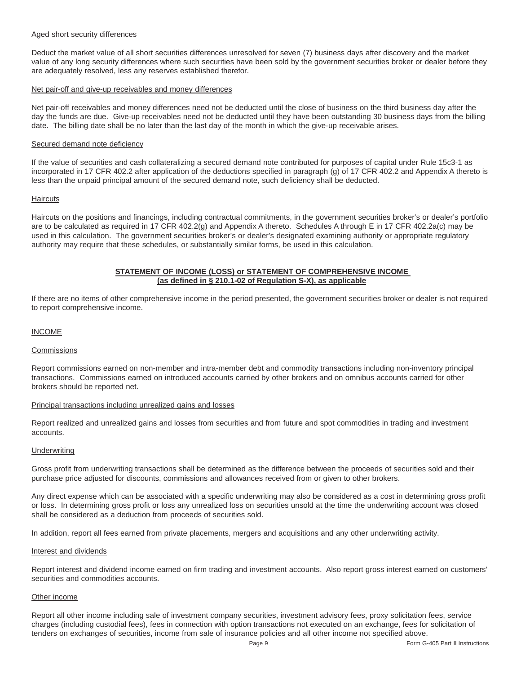# Aged short security differences

Deduct the market value of all short securities differences unresolved for seven (7) business days after discovery and the market value of any long security differences where such securities have been sold by the government securities broker or dealer before they are adequately resolved, less any reserves established therefor.

# Net pair-off and give-up receivables and money differences

Net pair-off receivables and money differences need not be deducted until the close of business on the third business day after the day the funds are due. Give-up receivables need not be deducted until they have been outstanding 30 business days from the billing date. The billing date shall be no later than the last day of the month in which the give-up receivable arises.

# Secured demand note deficiency

If the value of securities and cash collateralizing a secured demand note contributed for purposes of capital under Rule 15c3-1 as incorporated in 17 CFR 402.2 after application of the deductions specified in paragraph (g) of 17 CFR 402.2 and Appendix A thereto is less than the unpaid principal amount of the secured demand note, such deficiency shall be deducted.

# **Haircuts**

Haircuts on the positions and financings, including contractual commitments, in the government securities broker's or dealer's portfolio are to be calculated as required in 17 CFR 402.2(g) and Appendix A thereto. Schedules A through E in 17 CFR 402.2a(c) may be used in this calculation. The government securities broker's or dealer's designated examining authority or appropriate regulatory authority may require that these schedules, or substantially similar forms, be used in this calculation.

# **STATEMENT OF INCOME (LOSS) or STATEMENT OF COMPREHENSIVE INCOME (as defined in § 210.1-02 of Regulation S-X), as applicable**

If there are no items of other comprehensive income in the period presented, the government securities broker or dealer is not required to report comprehensive income.

# INCOME

#### Commissions

Report commissions earned on non-member and intra-member debt and commodity transactions including non-inventory principal transactions. Commissions earned on introduced accounts carried by other brokers and on omnibus accounts carried for other brokers should be reported net.

# Principal transactions including unrealized gains and losses

Report realized and unrealized gains and losses from securities and from future and spot commodities in trading and investment accounts.

#### **Underwriting**

Gross profit from underwriting transactions shall be determined as the difference between the proceeds of securities sold and their purchase price adjusted for discounts, commissions and allowances received from or given to other brokers.

Any direct expense which can be associated with a specific underwriting may also be considered as a cost in determining gross profit or loss. In determining gross profit or loss any unrealized loss on securities unsold at the time the underwriting account was closed shall be considered as a deduction from proceeds of securities sold.

In addition, report all fees earned from private placements, mergers and acquisitions and any other underwriting activity.

#### Interest and dividends

Report interest and dividend income earned on firm trading and investment accounts. Also report gross interest earned on customers' securities and commodities accounts.

#### Other income

Report all other income including sale of investment company securities, investment advisory fees, proxy solicitation fees, service charges (including custodial fees), fees in connection with option transactions not executed on an exchange, fees for solicitation of tenders on exchanges of securities, income from sale of insurance policies and all other income not specified above.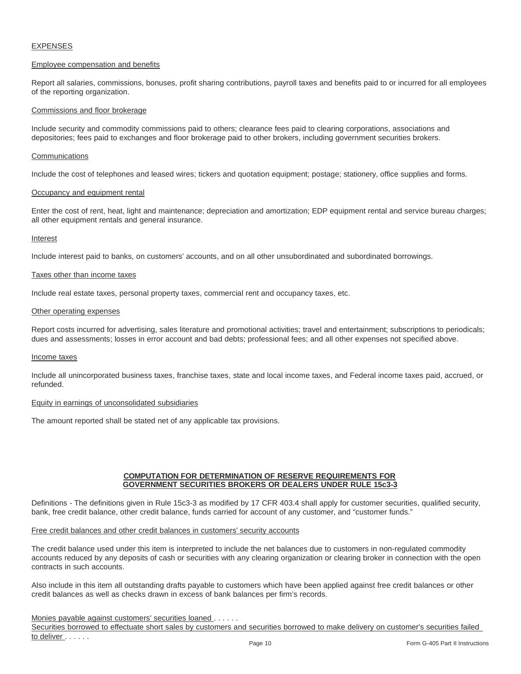# EXPENSES

# Employee compensation and benefits

Report all salaries, commissions, bonuses, profit sharing contributions, payroll taxes and benefits paid to or incurred for all employees of the reporting organization.

# Commissions and floor brokerage

Include security and commodity commissions paid to others; clearance fees paid to clearing corporations, associations and depositories; fees paid to exchanges and floor brokerage paid to other brokers, including government securities brokers.

#### **Communications**

Include the cost of telephones and leased wires; tickers and quotation equipment; postage; stationery, office supplies and forms.

#### Occupancy and equipment rental

Enter the cost of rent, heat, light and maintenance; depreciation and amortization; EDP equipment rental and service bureau charges; all other equipment rentals and general insurance.

# Interest

Include interest paid to banks, on customers' accounts, and on all other unsubordinated and subordinated borrowings.

#### Taxes other than income taxes

Include real estate taxes, personal property taxes, commercial rent and occupancy taxes, etc.

#### Other operating expenses

Report costs incurred for advertising, sales literature and promotional activities; travel and entertainment; subscriptions to periodicals; dues and assessments; losses in error account and bad debts; professional fees; and all other expenses not specified above.

#### Income taxes

Include all unincorporated business taxes, franchise taxes, state and local income taxes, and Federal income taxes paid, accrued, or refunded.

# Equity in earnings of unconsolidated subsidiaries

The amount reported shall be stated net of any applicable tax provisions.

# **COMPUTATION FOR DETERMINATION OF RESERVE REQUIREMENTS FOR GOVERNMENT SECURITIES BROKERS OR DEALERS UNDER RULE 15c3-3**

Definitions - The definitions given in Rule 15c3-3 as modified by 17 CFR 403.4 shall apply for customer securities, qualified security, bank, free credit balance, other credit balance, funds carried for account of any customer, and "customer funds."

# Free credit balances and other credit balances in customers' security accounts

The credit balance used under this item is interpreted to include the net balances due to customers in non-regulated commodity accounts reduced by any deposits of cash or securities with any clearing organization or clearing broker in connection with the open contracts in such accounts.

Also include in this item all outstanding drafts payable to customers which have been applied against free credit balances or other credit balances as well as checks drawn in excess of bank balances per firm's records.

#### Monies payable against customers' securities loaned . . . . . .

Securities borrowed to effectuate short sales by customers and securities borrowed to make delivery on customer's securities failed to deliver . . . . . .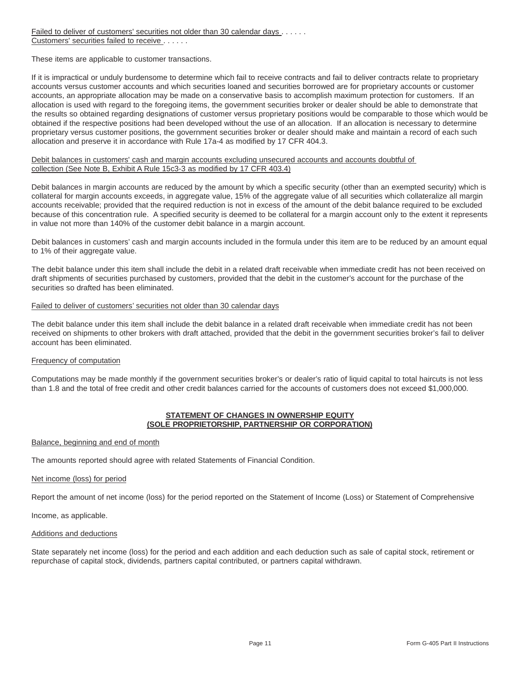Failed to deliver of customers' securities not older than 30 calendar days . . . . . . Customers' securities failed to receive . . . . . .

These items are applicable to customer transactions.

If it is impractical or unduly burdensome to determine which fail to receive contracts and fail to deliver contracts relate to proprietary accounts versus customer accounts and which securities loaned and securities borrowed are for proprietary accounts or customer accounts, an appropriate allocation may be made on a conservative basis to accomplish maximum protection for customers. If an allocation is used with regard to the foregoing items, the government securities broker or dealer should be able to demonstrate that the results so obtained regarding designations of customer versus proprietary positions would be comparable to those which would be obtained if the respective positions had been developed without the use of an allocation. If an allocation is necessary to determine proprietary versus customer positions, the government securities broker or dealer should make and maintain a record of each such allocation and preserve it in accordance with Rule 17a-4 as modified by 17 CFR 404.3.

# Debit balances in customers' cash and margin accounts excluding unsecured accounts and accounts doubtful of collection (See Note B, Exhibit A Rule 15c3-3 as modified by 17 CFR 403.4)

Debit balances in margin accounts are reduced by the amount by which a specific security (other than an exempted security) which is collateral for margin accounts exceeds, in aggregate value, 15% of the aggregate value of all securities which collateralize all margin accounts receivable; provided that the required reduction is not in excess of the amount of the debit balance required to be excluded because of this concentration rule. A specified security is deemed to be collateral for a margin account only to the extent it represents in value not more than 140% of the customer debit balance in a margin account.

Debit balances in customers' cash and margin accounts included in the formula under this item are to be reduced by an amount equal to 1% of their aggregate value.

The debit balance under this item shall include the debit in a related draft receivable when immediate credit has not been received on draft shipments of securities purchased by customers, provided that the debit in the customer's account for the purchase of the securities so drafted has been eliminated.

# Failed to deliver of customers' securities not older than 30 calendar days

The debit balance under this item shall include the debit balance in a related draft receivable when immediate credit has not been received on shipments to other brokers with draft attached, provided that the debit in the government securities broker's fail to deliver account has been eliminated.

# Frequency of computation

Computations may be made monthly if the government securities broker's or dealer's ratio of liquid capital to total haircuts is not less than 1.8 and the total of free credit and other credit balances carried for the accounts of customers does not exceed \$1,000,000.

# **STATEMENT OF CHANGES IN OWNERSHIP EQUITY (SOLE PROPRIETORSHIP, PARTNERSHIP OR CORPORATION)**

#### Balance, beginning and end of month

The amounts reported should agree with related Statements of Financial Condition.

#### Net income (loss) for period

Report the amount of net income (loss) for the period reported on the Statement of Income (Loss) or Statement of Comprehensive

Income, as applicable.

#### Additions and deductions

State separately net income (loss) for the period and each addition and each deduction such as sale of capital stock, retirement or repurchase of capital stock, dividends, partners capital contributed, or partners capital withdrawn.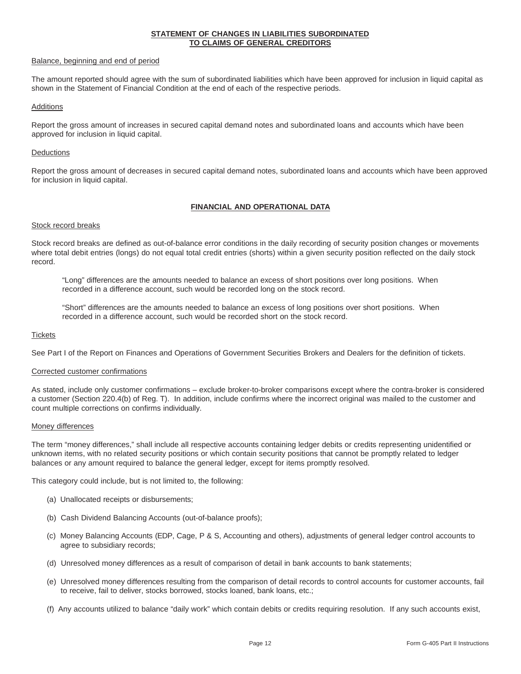#### **STATEMENT OF CHANGES IN LIABILITIES SUBORDINATED TO CLAIMS OF GENERAL CREDITORS**

#### Balance, beginning and end of period

The amount reported should agree with the sum of subordinated liabilities which have been approved for inclusion in liquid capital as shown in the Statement of Financial Condition at the end of each of the respective periods.

# **Additions**

Report the gross amount of increases in secured capital demand notes and subordinated loans and accounts which have been approved for inclusion in liquid capital.

# **Deductions**

Report the gross amount of decreases in secured capital demand notes, subordinated loans and accounts which have been approved for inclusion in liquid capital.

# **FINANCIAL AND OPERATIONAL DATA**

# Stock record breaks

Stock record breaks are defined as out-of-balance error conditions in the daily recording of security position changes or movements where total debit entries (longs) do not equal total credit entries (shorts) within a given security position reflected on the daily stock record.

"Long" differences are the amounts needed to balance an excess of short positions over long positions. When recorded in a difference account, such would be recorded long on the stock record.

"Short" differences are the amounts needed to balance an excess of long positions over short positions. When recorded in a difference account, such would be recorded short on the stock record.

#### **Tickets**

See Part I of the Report on Finances and Operations of Government Securities Brokers and Dealers for the definition of tickets.

# Corrected customer confirmations

As stated, include only customer confirmations – exclude broker-to-broker comparisons except where the contra-broker is considered a customer (Section 220.4(b) of Reg. T). In addition, include confirms where the incorrect original was mailed to the customer and count multiple corrections on confirms individually.

#### Money differences

The term "money differences," shall include all respective accounts containing ledger debits or credits representing unidentified or unknown items, with no related security positions or which contain security positions that cannot be promptly related to ledger balances or any amount required to balance the general ledger, except for items promptly resolved.

This category could include, but is not limited to, the following:

- (a) Unallocated receipts or disbursements;
- (b) Cash Dividend Balancing Accounts (out-of-balance proofs);
- (c) Money Balancing Accounts (EDP, Cage, P & S, Accounting and others), adjustments of general ledger control accounts to agree to subsidiary records;
- (d) Unresolved money differences as a result of comparison of detail in bank accounts to bank statements;
- (e) Unresolved money differences resulting from the comparison of detail records to control accounts for customer accounts, fail to receive, fail to deliver, stocks borrowed, stocks loaned, bank loans, etc.;
- (f) Any accounts utilized to balance "daily work" which contain debits or credits requiring resolution. If any such accounts exist,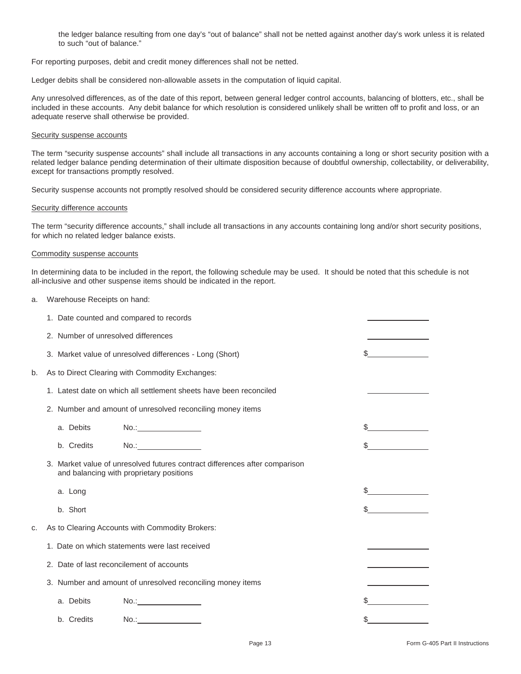the ledger balance resulting from one day's "out of balance" shall not be netted against another day's work unless it is related to such "out of balance."

For reporting purposes, debit and credit money differences shall not be netted.

Ledger debits shall be considered non-allowable assets in the computation of liquid capital.

Any unresolved differences, as of the date of this report, between general ledger control accounts, balancing of blotters, etc., shall be included in these accounts. Any debit balance for which resolution is considered unlikely shall be written off to profit and loss, or an adequate reserve shall otherwise be provided.

# Security suspense accounts

The term "security suspense accounts" shall include all transactions in any accounts containing a long or short security position with a related ledger balance pending determination of their ultimate disposition because of doubtful ownership, collectability, or deliverability, except for transactions promptly resolved.

Security suspense accounts not promptly resolved should be considered security difference accounts where appropriate.

#### Security difference accounts

The term "security difference accounts," shall include all transactions in any accounts containing long and/or short security positions, for which no related ledger balance exists.

#### Commodity suspense accounts

In determining data to be included in the report, the following schedule may be used. It should be noted that this schedule is not all-inclusive and other suspense items should be indicated in the report.

a. Warehouse Receipts on hand:

|    | 1. Date counted and compared to records                                                                                 |    |
|----|-------------------------------------------------------------------------------------------------------------------------|----|
|    | 2. Number of unresolved differences                                                                                     |    |
|    | 3. Market value of unresolved differences - Long (Short)                                                                |    |
| b. | As to Direct Clearing with Commodity Exchanges:                                                                         |    |
|    | 1. Latest date on which all settlement sheets have been reconciled                                                      |    |
|    | 2. Number and amount of unresolved reconciling money items                                                              |    |
|    | a. Debits                                                                                                               |    |
|    | No.:____________________<br>b. Credits                                                                                  |    |
|    | 3. Market value of unresolved futures contract differences after comparison<br>and balancing with proprietary positions |    |
|    | a. Long                                                                                                                 |    |
|    | b. Short                                                                                                                |    |
| c. | As to Clearing Accounts with Commodity Brokers:                                                                         |    |
|    | 1. Date on which statements were last received                                                                          |    |
|    | 2. Date of last reconcilement of accounts                                                                               |    |
|    | 3. Number and amount of unresolved reconciling money items                                                              |    |
|    | No.:<br>a. Debits                                                                                                       |    |
|    | b. Credits<br>No.:__________________                                                                                    | \$ |